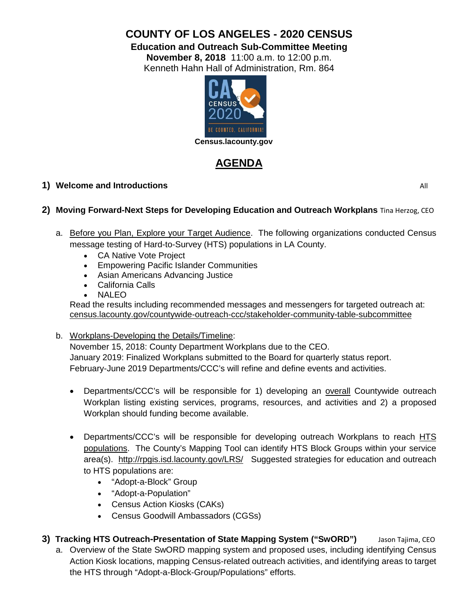# **COUNTY OF LOS ANGELES - 2020 CENSUS**

**Education and Outreach Sub-Committee Meeting**

**November 8, 2018** 11:00 a.m. to 12:00 p.m. Kenneth Hahn Hall of Administration, Rm. 864



# **AGENDA**

# **1) Welcome and Introductions** All

# **2) Moving Forward-Next Steps for Developing Education and Outreach Workplans** Tina Herzog, CEO

- a. Before you Plan, Explore your Target Audience. The following organizations conducted Census message testing of Hard-to-Survey (HTS) populations in LA County.
	- [CA Native Vote Project](https://census.lacounty.gov/wp-content/uploads/2018/10/CPAN-Panel-Presentation-CNVP-9_18_18.pdf)
	- [Empowering Pacific Islander Communities](https://census.lacounty.gov/wp-content/uploads/2018/10/EPIC_NHPI-Census-Research-9.18.18.pdf)
	- [Asian Americans Advancing Justice](https://census.lacounty.gov/wp-content/uploads/2018/10/2020-Census-Messaging-Research-Presentation-AAJC.pdf)
	- [California Calls](https://census.lacounty.gov/wp-content/uploads/2018/10/09-25-18-CA-Calls-AACEP-Census-Message-Testing-Results-Presentation-v4.pdf)
	- [NALEO](https://census.lacounty.gov/wp-content/uploads/2018/10/NALEO_Census_9_18_2018_Final.pdf)

Read the results including recommended messages and messengers for targeted outreach at: census.lacounty.gov/countywide-outreach-ccc/stakeholder-community-table-subcommittee

b. Workplans-Developing the Details/Timeline:

November 15, 2018: County Department Workplans due to the CEO. January 2019: Finalized Workplans submitted to the Board for quarterly status report. February-June 2019 Departments/CCC's will refine and define events and activities.

- Departments/CCC's will be responsible for 1) developing an overall Countywide outreach Workplan listing existing services, programs, resources, and activities and 2) a proposed Workplan should funding become available.
- Departments/CCC's will be responsible for developing outreach Workplans to reach HTS populations. The County's Mapping Tool can identify HTS Block Groups within your service area(s). <http://rpgis.isd.lacounty.gov/LRS/>Suggested strategies for education and outreach to HTS populations are:
	- "Adopt-a-Block" Group
	- "Adopt-a-Population"
	- Census Action Kiosks (CAKs)
	- Census Goodwill Ambassadors (CGSs)
- 3) **Tracking HTS Outreach-Presentation of State Mapping System ("SwORD")** Jason Tajima, CEO
	- a. Overview of the State SwORD mapping system and proposed uses, including identifying Census Action Kiosk locations, mapping Census-related outreach activities, and identifying areas to target the HTS through "Adopt-a-Block-Group/Populations" efforts.